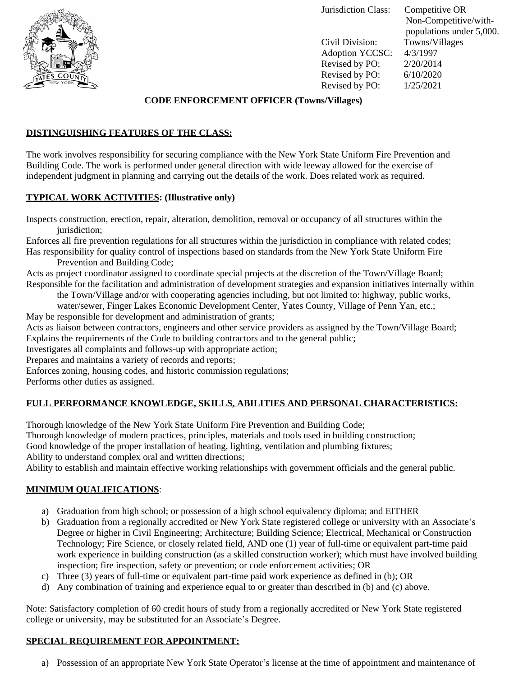

Jurisdiction Class: Competitive OR

Civil Division: Towns/Villages Adoption YCCSC: 4/3/1997 Revised by PO: 2/20/2014 Revised by PO: 6/10/2020<br>Revised by PO: 1/25/2021 Revised by PO:

 Non-Competitive/with populations under 5,000.

### **CODE ENFORCEMENT OFFICER (Towns/Villages)**

## **DISTINGUISHING FEATURES OF THE CLASS:**

The work involves responsibility for securing compliance with the New York State Uniform Fire Prevention and Building Code. The work is performed under general direction with wide leeway allowed for the exercise of independent judgment in planning and carrying out the details of the work. Does related work as required.

# **TYPICAL WORK ACTIVITIES: (Illustrative only)**

Inspects construction, erection, repair, alteration, demolition, removal or occupancy of all structures within the jurisdiction;

Enforces all fire prevention regulations for all structures within the jurisdiction in compliance with related codes; Has responsibility for quality control of inspections based on standards from the New York State Uniform Fire

Prevention and Building Code;

Acts as project coordinator assigned to coordinate special projects at the discretion of the Town/Village Board; Responsible for the facilitation and administration of development strategies and expansion initiatives internally within

the Town/Village and/or with cooperating agencies including, but not limited to: highway, public works, water/sewer, Finger Lakes Economic Development Center, Yates County, Village of Penn Yan, etc.;

May be responsible for development and administration of grants;

Acts as liaison between contractors, engineers and other service providers as assigned by the Town/Village Board; Explains the requirements of the Code to building contractors and to the general public;

Investigates all complaints and follows-up with appropriate action;

Prepares and maintains a variety of records and reports;

Enforces zoning, housing codes, and historic commission regulations;

Performs other duties as assigned.

## **FULL PERFORMANCE KNOWLEDGE, SKILLS, ABILITIES AND PERSONAL CHARACTERISTICS:**

Thorough knowledge of the New York State Uniform Fire Prevention and Building Code;

Thorough knowledge of modern practices, principles, materials and tools used in building construction;

Good knowledge of the proper installation of heating, lighting, ventilation and plumbing fixtures;

Ability to understand complex oral and written directions;

Ability to establish and maintain effective working relationships with government officials and the general public.

## **MINIMUM QUALIFICATIONS**:

- a) Graduation from high school; or possession of a high school equivalency diploma; and EITHER
- b) Graduation from a regionally accredited or New York State registered college or university with an Associate's Degree or higher in Civil Engineering; Architecture; Building Science; Electrical, Mechanical or Construction Technology; Fire Science, or closely related field, AND one (1) year of full-time or equivalent part-time paid work experience in building construction (as a skilled construction worker); which must have involved building inspection; fire inspection, safety or prevention; or code enforcement activities; OR
- c) Three (3) years of full-time or equivalent part-time paid work experience as defined in (b); OR
- d) Any combination of training and experience equal to or greater than described in (b) and (c) above.

Note: Satisfactory completion of 60 credit hours of study from a regionally accredited or New York State registered college or university, may be substituted for an Associate's Degree.

## **SPECIAL REQUIREMENT FOR APPOINTMENT:**

a) Possession of an appropriate New York State Operator's license at the time of appointment and maintenance of